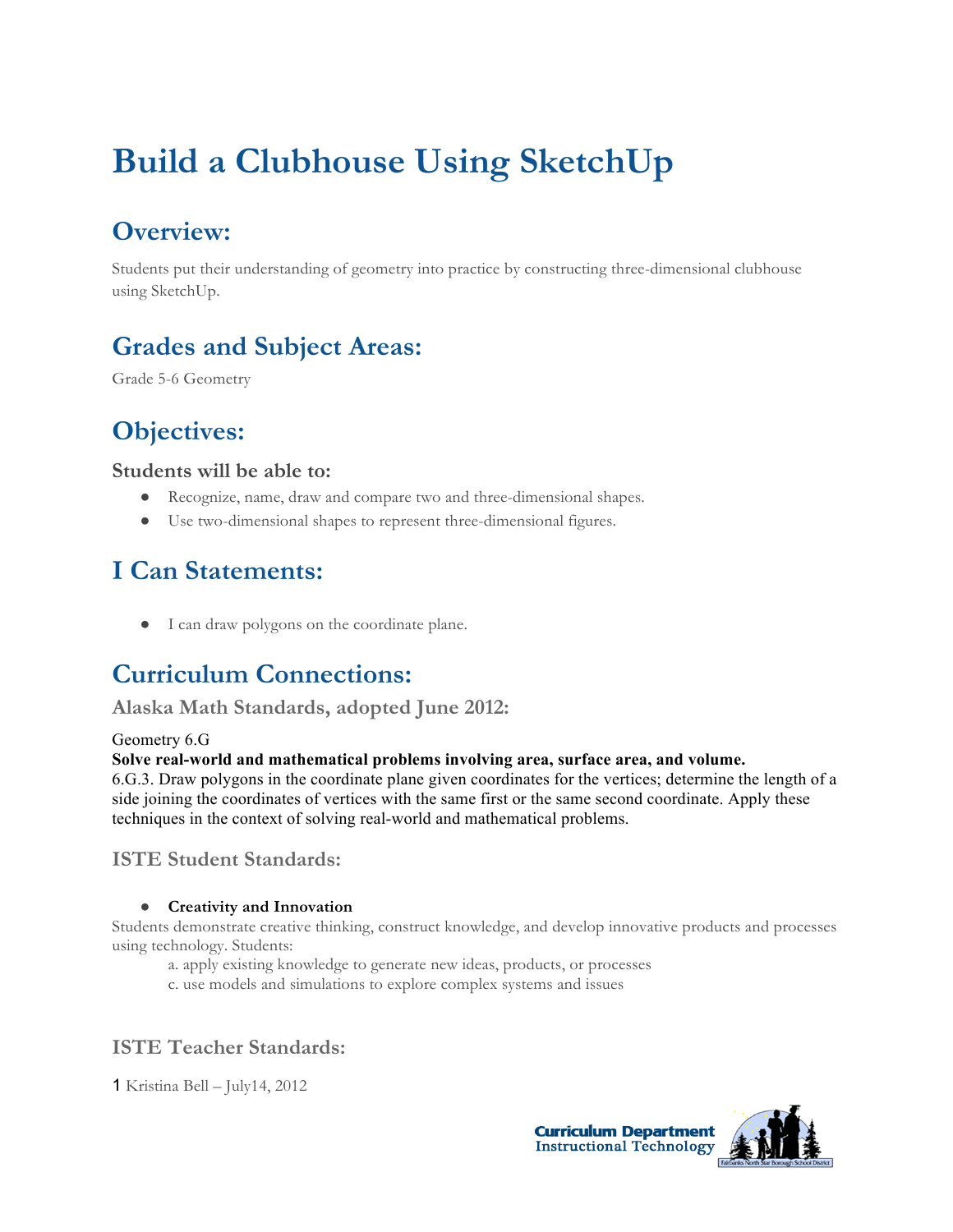# **Build a Clubhouse Using SketchUp**

# **Overview:**

Students put their understanding of geometry into practice by constructing three-dimensional clubhouse using SketchUp.

# **Grades and Subject Areas:**

Grade 5-6 Geometry

# **Objectives:**

#### **Students will be able to:**

- Recognize, name, draw and compare two and three-dimensional shapes.
- Use two-dimensional shapes to represent three-dimensional figures.

# **I Can Statements:**

● I can draw polygons on the coordinate plane.

## **Curriculum Connections:**

**Alaska Math Standards, adopted June 2012:**

#### Geometry 6.G

#### **Solve real-world and mathematical problems involving area, surface area, and volume.**

6.G.3. Draw polygons in the coordinate plane given coordinates for the vertices; determine the length of a side joining the coordinates of vertices with the same first or the same second coordinate. Apply these techniques in the context of solving real-world and mathematical problems.

### **ISTE Student Standards:**

#### ● **Creativity and Innovation**

Students demonstrate creative thinking, construct knowledge, and develop innovative products and processes using technology. Students:

- a. apply existing knowledge to generate new ideas, products, or processes
- c. use models and simulations to explore complex systems and issues

### **ISTE Teacher Standards:**

1 Kristina Bell – July14, 2012



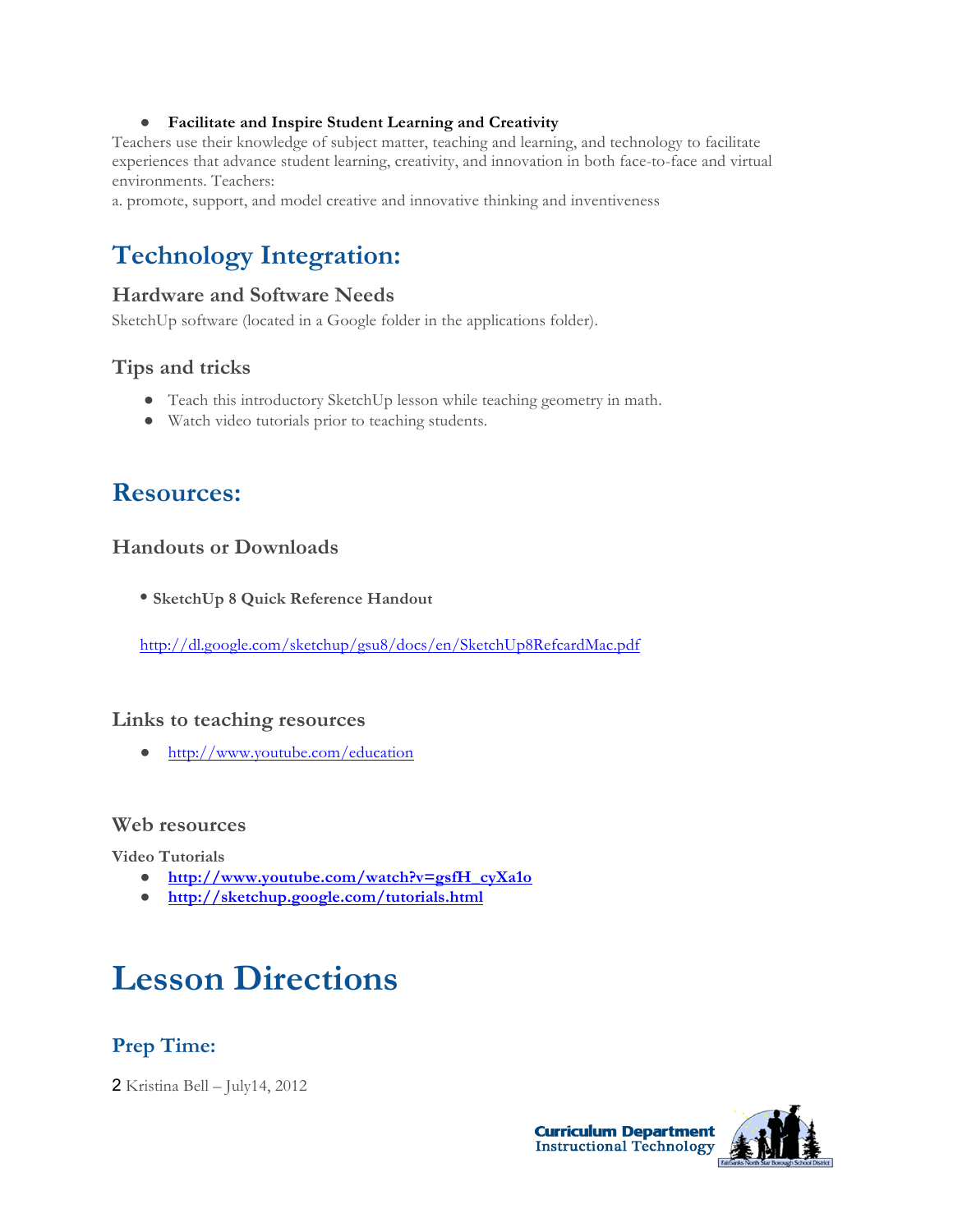#### ● **Facilitate and Inspire Student Learning and Creativity**

Teachers use their knowledge of subject matter, teaching and learning, and technology to facilitate experiences that advance student learning, creativity, and innovation in both face-to-face and virtual environments. Teachers:

a. promote, support, and model creative and innovative thinking and inventiveness

# **Technology Integration:**

#### **Hardware and Software Needs**

SketchUp software (located in a Google folder in the applications folder).

#### **Tips and tricks**

- Teach this introductory SketchUp lesson while teaching geometry in math.
- Watch video tutorials prior to teaching students.

## **Resources:**

#### **Handouts or Downloads**

**• SketchUp 8 Quick Reference Handout**

http://dl.google.com/sketchup/gsu8/docs/en/SketchUp8RefcardMac.pdf

#### **Links to teaching resources**

● http://www.youtube.com/education

#### **Web resources**

**Video Tutorials** 

- **http://www.youtube.com/watch?v=gsfH\_cyXa1o**
- **http://sketchup.google.com/tutorials.html**

# **Lesson Directions**

### **Prep Time:**

2 Kristina Bell – July14, 2012



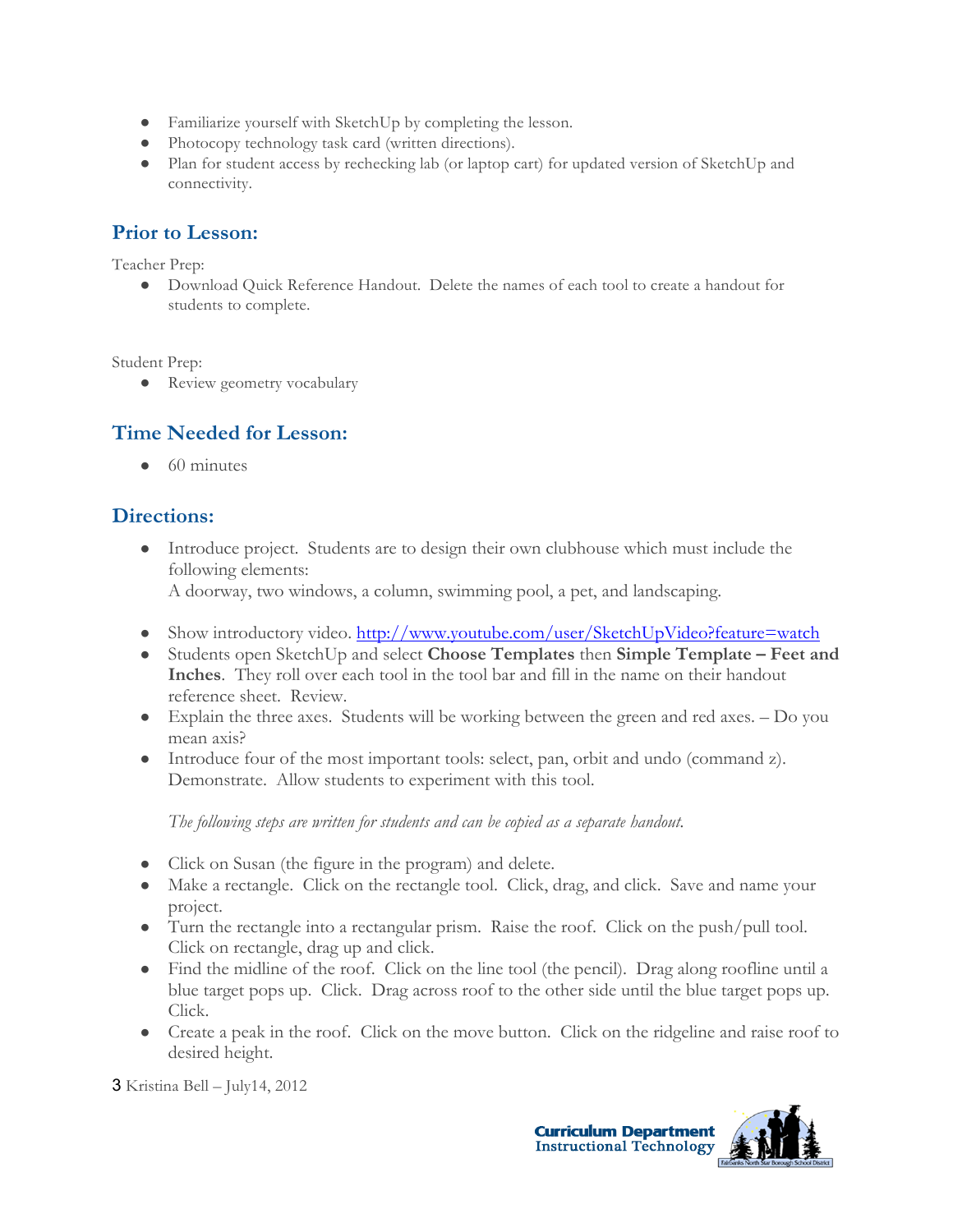- Familiarize yourself with SketchUp by completing the lesson.
- Photocopy technology task card (written directions).
- Plan for student access by rechecking lab (or laptop cart) for updated version of SketchUp and connectivity.

### **Prior to Lesson:**

Teacher Prep:

● Download Quick Reference Handout. Delete the names of each tool to create a handout for students to complete.

Student Prep:

• Review geometry vocabulary

### **Time Needed for Lesson:**

 $\bullet$  60 minutes

#### **Directions:**

● Introduce project. Students are to design their own clubhouse which must include the following elements:

A doorway, two windows, a column, swimming pool, a pet, and landscaping.

- Show introductory video. http://www.youtube.com/user/SketchUpVideo?feature=watch
- Students open SketchUp and select **Choose Templates** then **Simple Template – Feet and Inches**. They roll over each tool in the tool bar and fill in the name on their handout reference sheet. Review.
- Explain the three axes. Students will be working between the green and red axes. Do you mean axis?
- Introduce four of the most important tools: select, pan, orbit and undo (command z). Demonstrate. Allow students to experiment with this tool.

*The following steps are written for students and can be copied as a separate handout.* 

- Click on Susan (the figure in the program) and delete.
- Make a rectangle. Click on the rectangle tool. Click, drag, and click. Save and name your project.
- Turn the rectangle into a rectangular prism. Raise the roof. Click on the push/pull tool. Click on rectangle, drag up and click.
- Find the midline of the roof. Click on the line tool (the pencil). Drag along roofline until a blue target pops up. Click. Drag across roof to the other side until the blue target pops up. Click.
- Create a peak in the roof. Click on the move button. Click on the ridgeline and raise roof to desired height.

3 Kristina Bell – July14, 2012